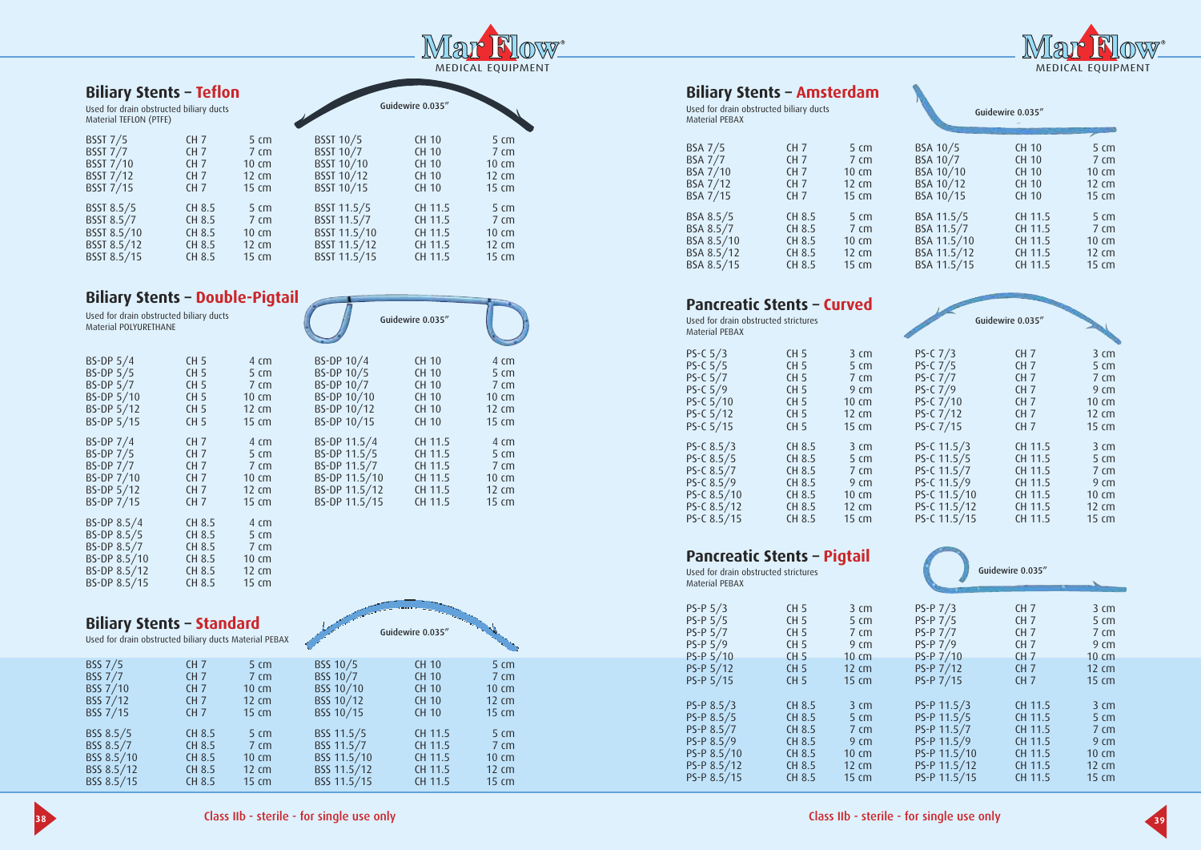

| <b>Biliary Stents - Teflon</b><br>Used for drain obstructed biliary ducts<br>Material TEFLON (PTFE) |                 |                    |                  | Guidewire 0.035" |                    |
|-----------------------------------------------------------------------------------------------------|-----------------|--------------------|------------------|------------------|--------------------|
| <b>BSST 7/5</b>                                                                                     | CH <sub>7</sub> | $5 \, \mathrm{cm}$ | BSST 10/5        | <b>CH 10</b>     | $5 \, \text{cm}$   |
| <b>BSST 7/7</b>                                                                                     | CH <sub>7</sub> | $7 \, \mathrm{cm}$ | <b>BSST 10/7</b> | <b>CH 10</b>     | $7 \, \mathrm{cm}$ |
| <b>BSST 7/10</b>                                                                                    | CH <sub>7</sub> | $10 \text{ cm}$    | BSST 10/10       | <b>CH 10</b>     | $10 \text{ cm}$    |
| <b>BSST 7/12</b>                                                                                    | CH <sub>7</sub> | $12 \text{ cm}$    | BSST 10/12       | <b>CH 10</b>     | 12 cm              |
| <b>BSST 7/15</b>                                                                                    | CH <sub>7</sub> | 15 cm              | BSST 10/15       | <b>CH 10</b>     | $15 \text{ cm}$    |
| BSST 8.5/5                                                                                          | CH 8.5          | $5 \, \mathrm{cm}$ | BSST 11.5/5      | CH 11.5          | 5 cm               |
| BSST 8.5/7                                                                                          | CH 8.5          | $7 \, \mathrm{cm}$ | BSST 11.5/7      | CH 11.5          | $7 \, \mathrm{cm}$ |
| BSST 8.5/10                                                                                         | CH 8.5          | $10 \text{ cm}$    | BSST 11.5/10     | CH 11.5          | $10 \text{ cm}$    |
| BSST 8.5/12                                                                                         | CH 8.5          | $12 \text{ cm}$    | BSST 11.5/12     | CH 11.5          | $12 \text{ cm}$    |
| BSST 8.5/15                                                                                         | CH 8.5          | 15 cm              | BSST 11.5/15     | CH 11.5          | 15 cm              |

## **Biliary Stents - Double-Pigtail**

Used for drain obstructed biliary ducts Material POLYURETHANE

| BS-DP 5/4        | CH <sub>5</sub> | 4 cm               |
|------------------|-----------------|--------------------|
| BS-DP 5/5        | CH <sub>5</sub> | 5 <sub>cm</sub>    |
| <b>BS-DP 5/7</b> | CH <sub>5</sub> | $7 \text{ cm}$     |
| BS-DP 5/10       | CH <sub>5</sub> | 10 cm              |
| BS-DP 5/12       | CH <sub>5</sub> | $12 \text{ cm}$    |
| BS-DP 5/15       | CH <sub>5</sub> | 15 cm              |
| BS-DP 7/4        | CH <sub>7</sub> | $4 \, \mathrm{cm}$ |
| <b>BS-DP 7/5</b> | CH <sub>7</sub> | 5 <sub>cm</sub>    |
| <b>BS-DP 7/7</b> | CH <sub>7</sub> | $7 \, \mathrm{cm}$ |
| BS-DP 7/10       | CH <sub>7</sub> | 10 cm              |
| BS-DP 5/12       | CH <sub>7</sub> | 12 cm              |
| BS-DP 7/15       | CH <sub>7</sub> | $15 \text{ cm}$    |
| BS-DP 8.5/4      | CH 8.5          | 4 cm               |
| BS-DP 8.5/5      | CH 8.5          | 5 <sub>cm</sub>    |
| BS-DP 8.5/7      | CH 8.5          | $7 \text{ cm}$     |
| BS-DP 8.5/10     | CH 8.5          | 10 cm              |
| BS-DP 8.5/12     | CH 8.5          | 12 cm              |
| BS-DP 8.5/15     | CH 8.5          | 15 cm              |

| . .           | Guidewire 0.035" |                    |
|---------------|------------------|--------------------|
| BS-DP 10/4    | <b>CH 10</b>     | $4 \, \mathrm{cm}$ |
| BS-DP 10/5    | <b>CH 10</b>     | $5 \, \mathrm{cm}$ |
| BS-DP 10/7    | <b>CH 10</b>     | $7 \text{ cm}$     |
| BS-DP 10/10   | <b>CH 10</b>     | $10 \text{ cm}$    |
| BS-DP 10/12   | <b>CH 10</b>     | 12 cm              |
| BS-DP 10/15   | <b>CH 10</b>     | 15 cm              |
| BS-DP 11.5/4  | CH 11.5          | $4 \, \mathrm{cm}$ |
| BS-DP 11.5/5  | CH 11.5          | $5 \text{ cm}$     |
| BS-DP 11.5/7  | CH 11.5          | $7 \text{ cm}$     |
| BS-DP 11.5/10 | CH 11.5          | 10 cm              |
| BS-DP 11.5/12 | CH 11.5          | 12 cm              |
| BS-DP 11.5/15 | CH 11.5          | $15 \text{ cm}$    |

Guidewire 0.035"

**Biliary Stents - Standard**<br>Used for drain obstructed biliary ducts Material PEBAX

| <b>BSS 7/5</b> | CH <sub>7</sub> | 5 cm              | BSS 10/5    | <b>CH 10</b> | 5 cm              |  |
|----------------|-----------------|-------------------|-------------|--------------|-------------------|--|
| <b>BSS 7/7</b> | CH <sub>7</sub> | $7 \, \text{cm}$  | BSS 10/7    | <b>CH 10</b> | $7 \, \text{cm}$  |  |
| BSS 7/10       | CH <sub>7</sub> | $10 \text{ cm}$   | BSS 10/10   | <b>CH 10</b> | $10 \text{ cm}$   |  |
| BSS 7/12       | CH <sub>7</sub> | $12 \, \text{cm}$ | BSS 10/12   | <b>CH 10</b> | $12 \, \text{cm}$ |  |
| BSS 7/15       | CH <sub>7</sub> | 15 cm             | BSS 10/15   | <b>CH 10</b> | $15 \text{ cm}$   |  |
|                |                 |                   |             |              |                   |  |
| BSS 8.5/5      | CH 8.5          | $5 \, \text{cm}$  | BSS 11.5/5  | CH 11.5      | 5 cm              |  |
| BSS 8.5/7      | CH 8.5          | $7 \, \text{cm}$  | BSS 11.5/7  | CH 11.5      | $7 \, \text{cm}$  |  |
| BSS 8.5/10     | CH 8.5          | $10 \, \text{cm}$ | BSS 11.5/10 | CH 11.5      | $10 \text{ cm}$   |  |
| BSS 8.5/12     | CH 8.5          | $12 \, \text{cm}$ | BSS 11.5/12 | CH 11.5      | $12 \, \text{cm}$ |  |
| BSS 8.5/15     | <b>CH 8.5</b>   | $15 \, \text{cm}$ | BSS 11.5/15 | CH 11.5      | $15 \text{ cm}$   |  |

# **Biliary Stents - Amsterdam**<br>Used for drain obstructed biliary ducts

Material PEBAX

| <b>BSA 7/5</b> | CH <sub>7</sub> | $5 \, \mathrm{cm}$ |
|----------------|-----------------|--------------------|
| <b>BSA 7/7</b> | CH <sub>7</sub> | $7 \, \mathrm{cm}$ |
| BSA 7/10       | CH <sub>7</sub> | 10 cm              |
| BSA 7/12       | CH <sub>7</sub> | $12 \text{ cm}$    |
| BSA 7/15       | CH <sub>7</sub> | 15 cm              |
|                |                 |                    |
| BSA 8.5/5      | CH 8.5          | $5 \, \mathrm{cm}$ |
| BSA 8.5/7      | CH 8.5          | $7 \, \mathrm{cm}$ |
| BSA 8.5/10     | CH 8.5          | $10 \text{ cm}$    |
| BSA 8.5/12     | CH 8.5          | 12 cm              |
| BSA 8.5/15     | CH 8.5          | 15 cm              |

## **Pancreatic Stents - Curved**

Used for drain obstructed strictures Material PEBAX

| $PS-C 5/3$  | CH <sub>5</sub> | $3 \, \text{cm}$ |
|-------------|-----------------|------------------|
| PS-C $5/5$  | CH <sub>5</sub> | 5 <sub>cm</sub>  |
| PS-C $5/7$  | CH <sub>5</sub> | $7 \; cm$        |
| PS-C $5/9$  | CH <sub>5</sub> | 9 <sub>cm</sub>  |
| PS-C 5/10   | CH <sub>5</sub> | $10 \text{ cm}$  |
| PS-C $5/12$ | CH <sub>5</sub> | 12 cm            |
| PS-C 5/15   | CH <sub>5</sub> | 15 cm            |
|             |                 |                  |
| PS-C 8.5/3  | CH 8.5          | $3 \, \text{cm}$ |
| PS-C 8.5/5  | CH 8.5          | $5 \; cm$        |
| PS-C 8.5/7  | CH 8.5          | $7 \, \text{cm}$ |
| PS-C 8.5/9  | CH 8.5          | $9 \; cm$        |
| PS-C 8.5/10 | CH 8.5          | $10 \text{ cm}$  |
| PS-C 8.5/12 | CH 8.5          | 12 cm            |
| PS-C 8.5/15 | CH 8.5          | 15 cm            |

## **Pancreatic Stents - Pigtail**

Used for drain obstructed strictures<br>Material PEBAX

| $PS-P 5/3$                                                                                                                                 | CH <sub>5</sub>                    | $3 \, \text{cm}$                   |
|--------------------------------------------------------------------------------------------------------------------------------------------|------------------------------------|------------------------------------|
| $PS-P 5/5$                                                                                                                                 | CH <sub>5</sub>                    | $5 \text{ cm}$                     |
| PS-P 5/7                                                                                                                                   | CH <sub>5</sub>                    | $7 \text{ cm}$                     |
| $PS-P 5/9$                                                                                                                                 | CH <sub>5</sub>                    | 9 <sub>cm</sub>                    |
| PS-P 5/10                                                                                                                                  | <b>CH 5</b>                        | $10 \text{ cm}$                    |
| PS-P 5/12<br>and the state of the state of the state of the state of the state of the state of the state of the state of th<br>$PS-P 5/15$ | CH <sub>5</sub><br>CH <sub>5</sub> | $12 \text{ cm}$<br>$15 \text{ cm}$ |
| $PS-P 8.5/3$                                                                                                                               | CH 8.5                             | $3 \, \text{cm}$                   |
| PS-P 8.5/5                                                                                                                                 | CH 8.5                             | 5 <sub>cm</sub>                    |
| PS-P 8.5/7                                                                                                                                 | <b>CH 8.5</b>                      | $7 \text{ cm}$                     |
| PS-P 8.5/9                                                                                                                                 | CH 8.5                             | 9 <sub>cm</sub>                    |
| PS-P 8.5/10                                                                                                                                | CH 8.5                             | $10 \text{ cm}$                    |
| PS-P 8.5/12                                                                                                                                | CH 8.5                             | 12 cm                              |
| PS-P 8.5/15                                                                                                                                | CH 8.5                             | $15 \text{ cm}$                    |





|                                                                                                                                                                                                          | Guidewire 0.035"                                                                                                                                                                         |                                                                                                                                                                   |
|----------------------------------------------------------------------------------------------------------------------------------------------------------------------------------------------------------|------------------------------------------------------------------------------------------------------------------------------------------------------------------------------------------|-------------------------------------------------------------------------------------------------------------------------------------------------------------------|
| BSA 10/5<br>BSA 10/7<br>BSA 10/10<br>BSA 10/12<br>BSA 10/15                                                                                                                                              | <b>CH 10</b><br><b>CH 10</b><br><b>CH 10</b><br><b>CH 10</b><br><b>CH 10</b>                                                                                                             | 5 <sub>cm</sub><br>$7 \text{ cm}$<br>10 cm<br>12 cm<br>15 cm                                                                                                      |
| BSA 11.5/5<br>BSA 11.5/7<br>BSA 11.5 <sup>/</sup> /10<br>BSA 11.5/12<br>BSA 11.5/15                                                                                                                      | CH 11.5<br>CH 11.5<br>CH 11.5<br>CH 11.5<br>CH 11.5                                                                                                                                      | 5 <sub>cm</sub><br>7 cm<br>10 cm<br>12 cm<br>15 cm                                                                                                                |
|                                                                                                                                                                                                          | Guidewire 0.035"                                                                                                                                                                         |                                                                                                                                                                   |
| PS-C $7/3$<br>PS-C 7/5<br><b>PS-C 7/7</b><br>PS-C 7/9<br>PS-C 7/10<br>PS-C 7/12<br>PS-C 7/15<br>PS-C 11.5/3<br>PS-C 11.5/5<br>PS-C 11.5/5<br>PS-C 11.5/7<br>PS-C 11.5/10<br>PS-C 11.5/12<br>PS-C 11.5/15 | CH <sub>7</sub><br>CH <sub>7</sub><br>CH <sub>7</sub><br>CH <sub>7</sub><br>CH <sub>7</sub><br>CH <sub>7</sub><br>CH <sub>7</sub><br>CH 11.5<br>CH 11.5<br>CH 11.5<br>CH 11.5<br>CH 11.5 | 3 <sub>cm</sub><br>5 <sub>cm</sub><br>7 cm<br>9 cm<br>10 cm<br>12 cm<br>15 cm<br>3 <sub>cm</sub><br>5 <sub>cm</sub><br>$7 \text{ cm}$<br>9 <sub>cm</sub><br>10 cm |
|                                                                                                                                                                                                          | CH 11.5<br>CH 11.5<br>Guidewire 0.035"                                                                                                                                                   | 12 cm<br>$15 \text{ cm}$                                                                                                                                          |
| PS-P 7/3<br>PS-P 7/5<br>PS-P 7/7<br>PS-P 7/9<br>PS-P 7/10                                                                                                                                                | CH <sub>7</sub><br>CH <sub>7</sub><br>CH <sub>7</sub><br>CH <sub>7</sub><br><b>CH 7</b>                                                                                                  | 3 <sub>cm</sub><br>5 <sub>cm</sub><br>7 cm<br>9 <sub>cm</sub><br><b>10 cm</b>                                                                                     |
| PS-P 7/12<br>PS-P 7/15                                                                                                                                                                                   | CH <sub>7</sub><br>CH <sub>7</sub>                                                                                                                                                       | 12 cm<br>15 cm                                                                                                                                                    |
| PS-P 11.5/3<br>PS-P 11.5/5<br>PS-P 11.5/7<br>PS-P 11.5/9<br>PS-P 11.5/10<br>PS-P 11.5/12<br>PS-P 11.5/15                                                                                                 | CH 11.5<br>CH 11.5<br>CH 11.5<br>CH 11.5<br>CH 11.5<br>CH 11.5<br>CH 11.5                                                                                                                | 3 <sub>cm</sub><br>5 <sub>cm</sub><br>7 cm<br>9 <sub>cm</sub><br>$10 \text{ cm}$<br>12 cm<br>15 cm                                                                |

### Class IIb - sterile - for single use only

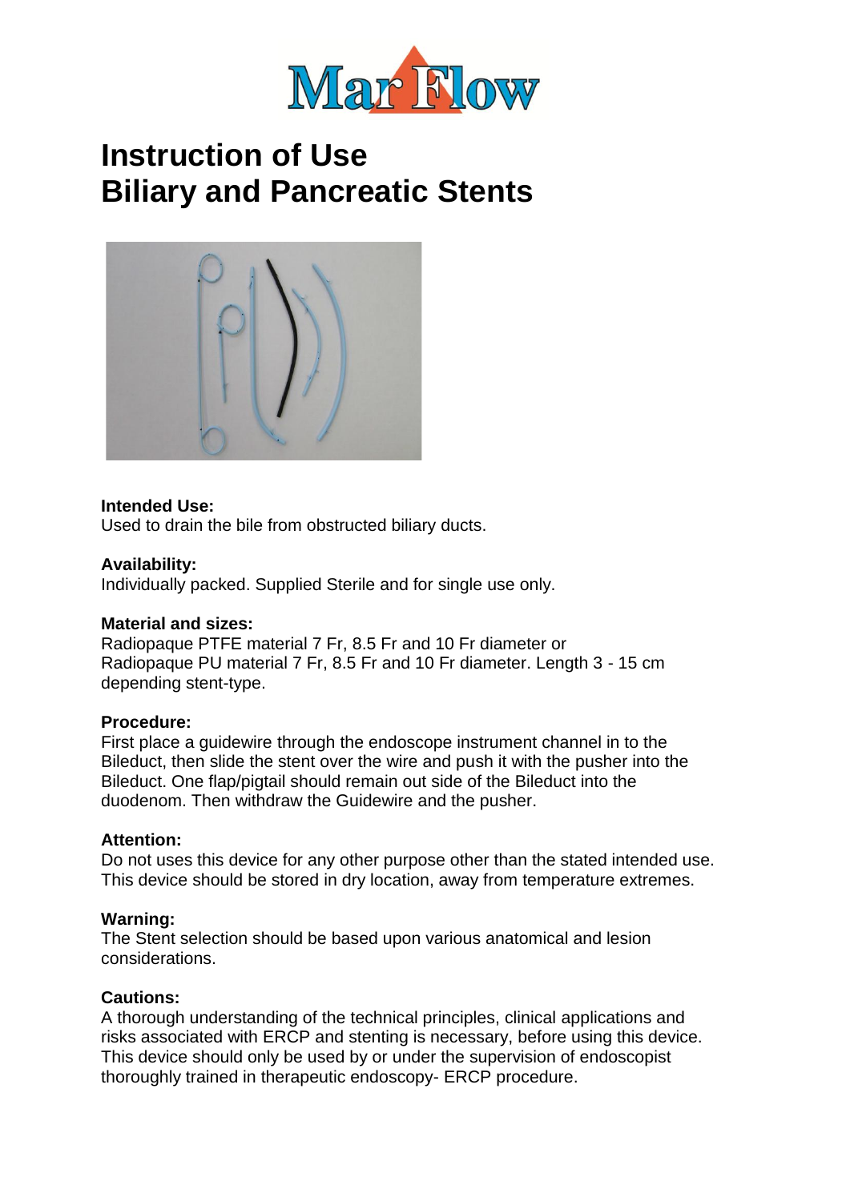

## **Instruction of Use Biliary and Pancreatic Stents**



#### **Intended Use:**

Used to drain the bile from obstructed biliary ducts.

#### **Availability:**

Individually packed. Supplied Sterile and for single use only.

#### **Material and sizes:**

Radiopaque PTFE material 7 Fr, 8.5 Fr and 10 Fr diameter or Radiopaque PU material 7 Fr, 8.5 Fr and 10 Fr diameter. Length 3 - 15 cm depending stent-type.

#### **Procedure:**

First place a guidewire through the endoscope instrument channel in to the Bileduct, then slide the stent over the wire and push it with the pusher into the Bileduct. One flap/pigtail should remain out side of the Bileduct into the duodenom. Then withdraw the Guidewire and the pusher.

#### **Attention:**

Do not uses this device for any other purpose other than the stated intended use. This device should be stored in dry location, away from temperature extremes.

#### **Warning:**

The Stent selection should be based upon various anatomical and lesion considerations.

#### **Cautions:**

A thorough understanding of the technical principles, clinical applications and risks associated with ERCP and stenting is necessary, before using this device. This device should only be used by or under the supervision of endoscopist thoroughly trained in therapeutic endoscopy- ERCP procedure.